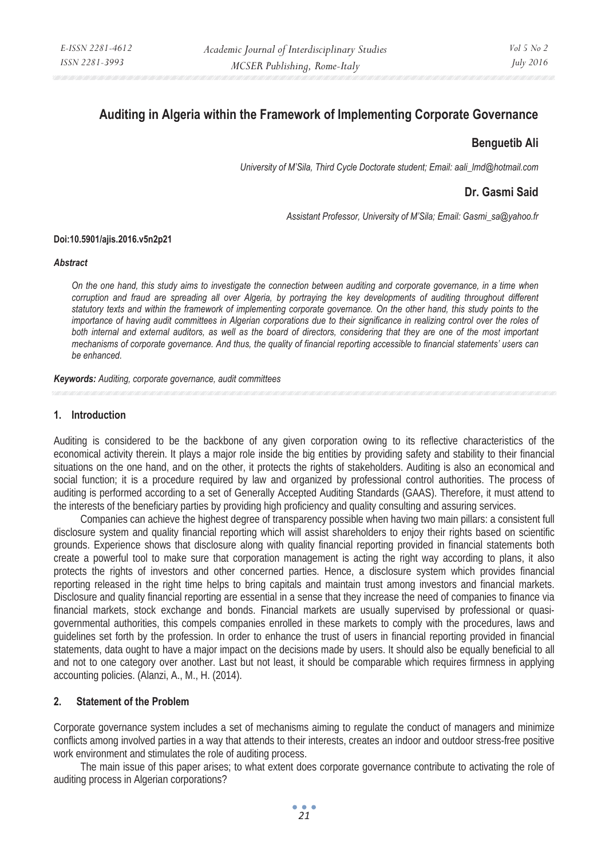# **Auditing in Algeria within the Framework of Implementing Corporate Governance**

### **Benguetib Ali**

*University of M'Sila, Third Cycle Doctorate student; Email: aali\_lmd@hotmail.com* 

## **Dr. Gasmi Said**

*Assistant Professor, University of M'Sila; Email: Gasmi\_sa@yahoo.fr* 

#### **Doi:10.5901/ajis.2016.v5n2p21**

#### *Abstract*

*On the one hand, this study aims to investigate the connection between auditing and corporate governance, in a time when corruption and fraud are spreading all over Algeria, by portraying the key developments of auditing throughout different*  statutory texts and within the framework of implementing corporate governance. On the other hand, this study points to the *importance of having audit committees in Algerian corporations due to their significance in realizing control over the roles of both internal and external auditors, as well as the board of directors, considering that they are one of the most important mechanisms of corporate governance. And thus, the quality of financial reporting accessible to financial statements' users can be enhanced.* 

*Keywords: Auditing, corporate governance, audit committees* 

#### **1. Introduction**

Auditing is considered to be the backbone of any given corporation owing to its reflective characteristics of the economical activity therein. It plays a major role inside the big entities by providing safety and stability to their financial situations on the one hand, and on the other, it protects the rights of stakeholders. Auditing is also an economical and social function; it is a procedure required by law and organized by professional control authorities. The process of auditing is performed according to a set of Generally Accepted Auditing Standards (GAAS). Therefore, it must attend to the interests of the beneficiary parties by providing high proficiency and quality consulting and assuring services.

Companies can achieve the highest degree of transparency possible when having two main pillars: a consistent full disclosure system and quality financial reporting which will assist shareholders to enjoy their rights based on scientific grounds. Experience shows that disclosure along with quality financial reporting provided in financial statements both create a powerful tool to make sure that corporation management is acting the right way according to plans, it also protects the rights of investors and other concerned parties. Hence, a disclosure system which provides financial reporting released in the right time helps to bring capitals and maintain trust among investors and financial markets. Disclosure and quality financial reporting are essential in a sense that they increase the need of companies to finance via financial markets, stock exchange and bonds. Financial markets are usually supervised by professional or quasigovernmental authorities, this compels companies enrolled in these markets to comply with the procedures, laws and guidelines set forth by the profession. In order to enhance the trust of users in financial reporting provided in financial statements, data ought to have a major impact on the decisions made by users. It should also be equally beneficial to all and not to one category over another. Last but not least, it should be comparable which requires firmness in applying accounting policies. (Alanzi, A., M., H. (2014).

### **2. Statement of the Problem**

Corporate governance system includes a set of mechanisms aiming to regulate the conduct of managers and minimize conflicts among involved parties in a way that attends to their interests, creates an indoor and outdoor stress-free positive work environment and stimulates the role of auditing process.

The main issue of this paper arises; to what extent does corporate governance contribute to activating the role of auditing process in Algerian corporations?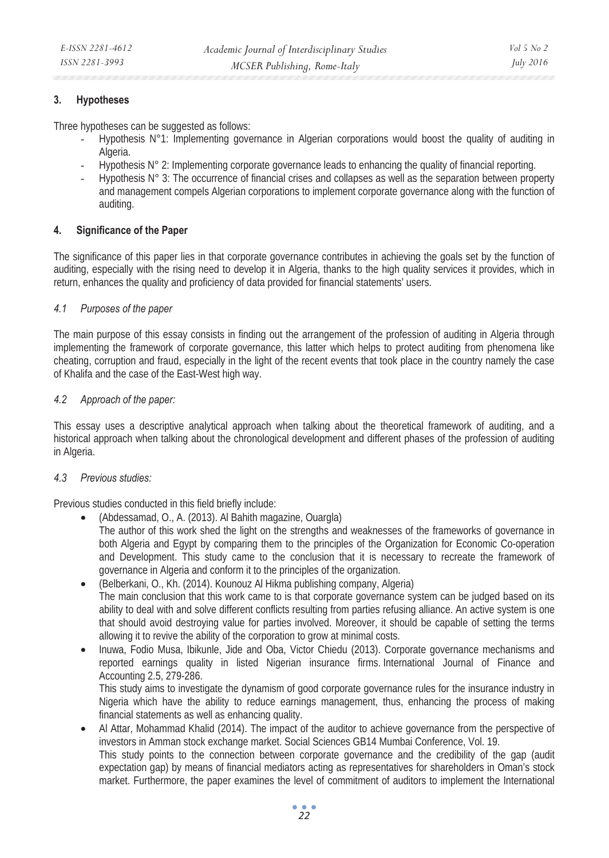### **3. Hypotheses**

Three hypotheses can be suggested as follows:

- Hypothesis N°1: Implementing governance in Algerian corporations would boost the quality of auditing in Algeria.
- Hypothesis N° 2: Implementing corporate governance leads to enhancing the quality of financial reporting.
- Hypothesis N° 3: The occurrence of financial crises and collapses as well as the separation between property and management compels Algerian corporations to implement corporate governance along with the function of auditing.

### **4. Significance of the Paper**

The significance of this paper lies in that corporate governance contributes in achieving the goals set by the function of auditing, especially with the rising need to develop it in Algeria, thanks to the high quality services it provides, which in return, enhances the quality and proficiency of data provided for financial statements' users.

### *4.1 Purposes of the paper*

The main purpose of this essay consists in finding out the arrangement of the profession of auditing in Algeria through implementing the framework of corporate governance, this latter which helps to protect auditing from phenomena like cheating, corruption and fraud, especially in the light of the recent events that took place in the country namely the case of Khalifa and the case of the East-West high way.

### *4.2 Approach of the paper:*

This essay uses a descriptive analytical approach when talking about the theoretical framework of auditing, and a historical approach when talking about the chronological development and different phases of the profession of auditing in Algeria.

#### *4.3 Previous studies:*

Previous studies conducted in this field briefly include:

- (Abdessamad, O., A. (2013). Al Bahith magazine, Ouargla)
- The author of this work shed the light on the strengths and weaknesses of the frameworks of governance in both Algeria and Egypt by comparing them to the principles of the Organization for Economic Co-operation and Development. This study came to the conclusion that it is necessary to recreate the framework of governance in Algeria and conform it to the principles of the organization.
- (Belberkani, O., Kh. (2014). Kounouz Al Hikma publishing company, Algeria) The main conclusion that this work came to is that corporate governance system can be judged based on its ability to deal with and solve different conflicts resulting from parties refusing alliance. An active system is one that should avoid destroying value for parties involved. Moreover, it should be capable of setting the terms allowing it to revive the ability of the corporation to grow at minimal costs.
- Inuwa, Fodio Musa, Ibikunle, Jide and Oba, Victor Chiedu (2013). Corporate governance mechanisms and reported earnings quality in listed Nigerian insurance firms. International Journal of Finance and Accounting 2.5, 279-286. This study aims to investigate the dynamism of good corporate governance rules for the insurance industry in

Nigeria which have the ability to reduce earnings management, thus, enhancing the process of making financial statements as well as enhancing quality.

• Al Attar, Mohammad Khalid (2014). The impact of the auditor to achieve governance from the perspective of investors in Amman stock exchange market. Social Sciences GB14 Mumbai Conference, Vol. 19. This study points to the connection between corporate governance and the credibility of the gap (audit expectation gap) by means of financial mediators acting as representatives for shareholders in Oman's stock market. Furthermore, the paper examines the level of commitment of auditors to implement the International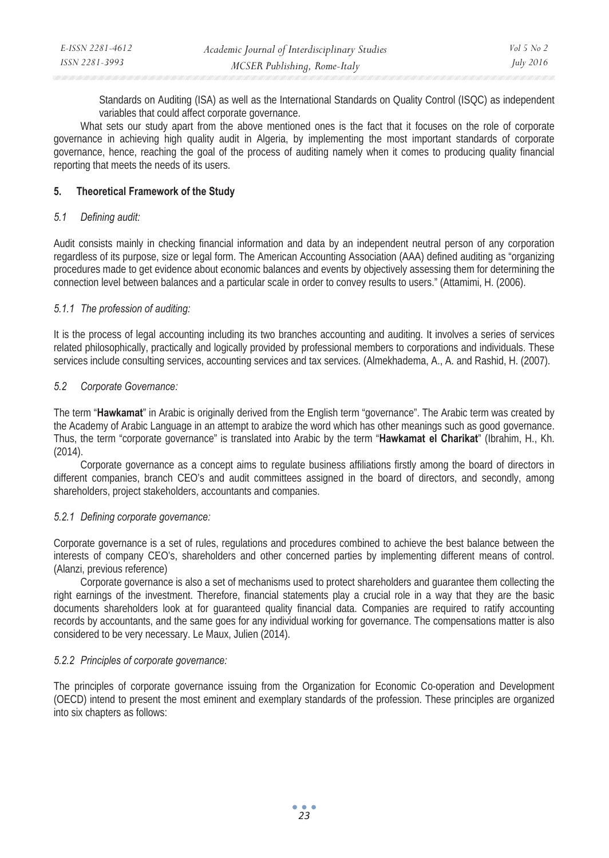| E-ISSN 2281-4612 | Academic Journal of Interdisciplinary Studies | $Vol_5$ No 2     |
|------------------|-----------------------------------------------|------------------|
| ISSN 2281-3993   | MCSER Publishing, Rome-Italy                  | <i>July 2016</i> |

Standards on Auditing (ISA) as well as the International Standards on Quality Control (ISQC) as independent variables that could affect corporate governance.

What sets our study apart from the above mentioned ones is the fact that it focuses on the role of corporate governance in achieving high quality audit in Algeria, by implementing the most important standards of corporate governance, hence, reaching the goal of the process of auditing namely when it comes to producing quality financial reporting that meets the needs of its users.

### **5. Theoretical Framework of the Study**

#### *5.1 Defining audit:*

Audit consists mainly in checking financial information and data by an independent neutral person of any corporation regardless of its purpose, size or legal form. The American Accounting Association (AAA) defined auditing as "organizing procedures made to get evidence about economic balances and events by objectively assessing them for determining the connection level between balances and a particular scale in order to convey results to users." (Attamimi, H. (2006).

### *5.1.1 The profession of auditing:*

It is the process of legal accounting including its two branches accounting and auditing. It involves a series of services related philosophically, practically and logically provided by professional members to corporations and individuals. These services include consulting services, accounting services and tax services. (Almekhadema, A., A. and Rashid, H. (2007).

### *5.2 Corporate Governance:*

The term "**Hawkamat**" in Arabic is originally derived from the English term "governance". The Arabic term was created by the Academy of Arabic Language in an attempt to arabize the word which has other meanings such as good governance. Thus, the term "corporate governance" is translated into Arabic by the term "**Hawkamat el Charikat**" (Ibrahim, H., Kh. (2014).

Corporate governance as a concept aims to regulate business affiliations firstly among the board of directors in different companies, branch CEO's and audit committees assigned in the board of directors, and secondly, among shareholders, project stakeholders, accountants and companies.

### *5.2.1 Defining corporate governance:*

Corporate governance is a set of rules, regulations and procedures combined to achieve the best balance between the interests of company CEO's, shareholders and other concerned parties by implementing different means of control. (Alanzi, previous reference)

Corporate governance is also a set of mechanisms used to protect shareholders and guarantee them collecting the right earnings of the investment. Therefore, financial statements play a crucial role in a way that they are the basic documents shareholders look at for guaranteed quality financial data. Companies are required to ratify accounting records by accountants, and the same goes for any individual working for governance. The compensations matter is also considered to be very necessary. Le Maux, Julien (2014).

#### *5.2.2 Principles of corporate governance:*

The principles of corporate governance issuing from the Organization for Economic Co-operation and Development (OECD) intend to present the most eminent and exemplary standards of the profession. These principles are organized into six chapters as follows: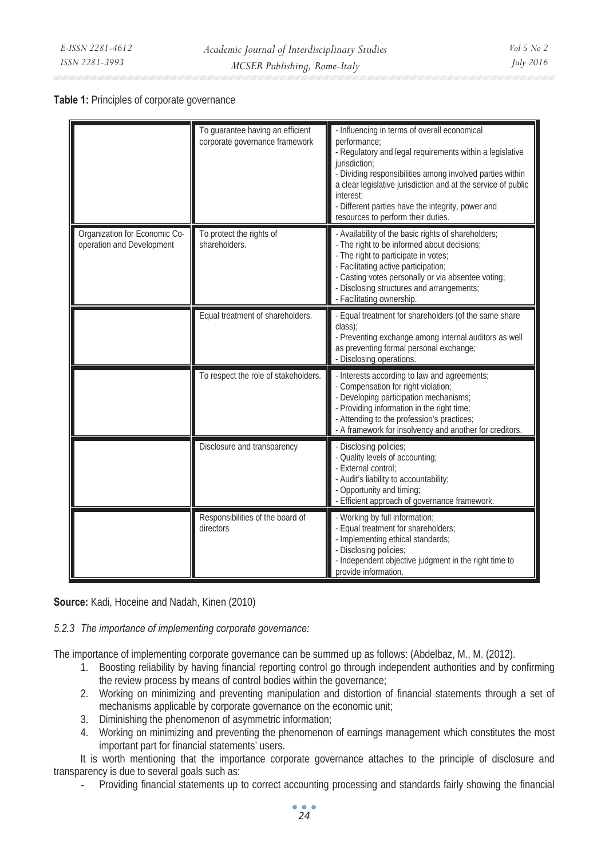#### **Table 1:** Principles of corporate governance

|                                                            | To quarantee having an efficient<br>corporate governance framework | - Influencing in terms of overall economical<br>performance;<br>- Regulatory and legal requirements within a legislative<br>jurisdiction:<br>- Dividing responsibilities among involved parties within<br>a clear legislative jurisdiction and at the service of public<br>interest:<br>- Different parties have the integrity, power and<br>resources to perform their duties. |
|------------------------------------------------------------|--------------------------------------------------------------------|---------------------------------------------------------------------------------------------------------------------------------------------------------------------------------------------------------------------------------------------------------------------------------------------------------------------------------------------------------------------------------|
| Organization for Economic Co-<br>operation and Development | To protect the rights of<br>shareholders.                          | - Availability of the basic rights of shareholders;<br>- The right to be informed about decisions:<br>- The right to participate in votes;<br>- Facilitating active participation;<br>- Casting votes personally or via absentee voting;<br>- Disclosing structures and arrangements;<br>- Facilitating ownership.                                                              |
|                                                            | Equal treatment of shareholders.                                   | - Equal treatment for shareholders (of the same share<br>class);<br>- Preventing exchange among internal auditors as well<br>as preventing formal personal exchange;<br>- Disclosing operations.                                                                                                                                                                                |
|                                                            | To respect the role of stakeholders.                               | - Interests according to law and agreements;<br>- Compensation for right violation;<br>- Developing participation mechanisms;<br>- Providing information in the right time;<br>- Attending to the profession's practices;<br>- A framework for insolvency and another for creditors.                                                                                            |
|                                                            | Disclosure and transparency                                        | - Disclosing policies;<br>- Quality levels of accounting;<br>- External control:<br>- Audit's liability to accountability:<br>- Opportunity and timing;<br>- Efficient approach of governance framework.                                                                                                                                                                        |
|                                                            | Responsibilities of the board of<br>directors                      | - Working by full information;<br>Equal treatment for shareholders;<br>- Implementing ethical standards;<br>- Disclosing policies:<br>- Independent objective judgment in the right time to<br>provide information.                                                                                                                                                             |

**Source:** Kadi, Hoceine and Nadah, Kinen (2010)

*5.2.3 The importance of implementing corporate governance:* 

The importance of implementing corporate governance can be summed up as follows: (Abdelbaz, M., M. (2012).

- 1. Boosting reliability by having financial reporting control go through independent authorities and by confirming the review process by means of control bodies within the governance;
- 2. Working on minimizing and preventing manipulation and distortion of financial statements through a set of mechanisms applicable by corporate governance on the economic unit;
- 3. Diminishing the phenomenon of asymmetric information;
- 4. Working on minimizing and preventing the phenomenon of earnings management which constitutes the most important part for financial statements' users.

It is worth mentioning that the importance corporate governance attaches to the principle of disclosure and transparency is due to several goals such as:

- Providing financial statements up to correct accounting processing and standards fairly showing the financial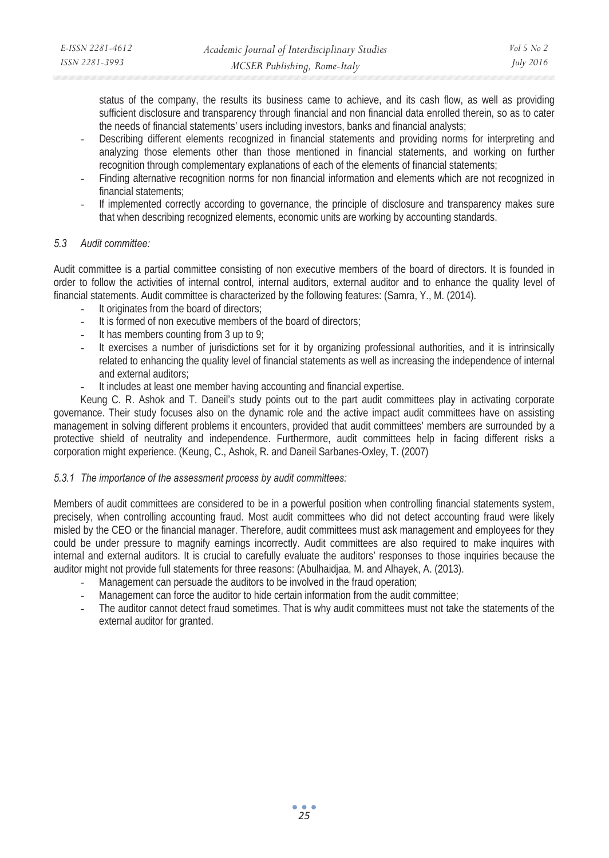status of the company, the results its business came to achieve, and its cash flow, as well as providing sufficient disclosure and transparency through financial and non financial data enrolled therein, so as to cater the needs of financial statements' users including investors, banks and financial analysts;

- Describing different elements recognized in financial statements and providing norms for interpreting and analyzing those elements other than those mentioned in financial statements, and working on further recognition through complementary explanations of each of the elements of financial statements;
- Finding alternative recognition norms for non financial information and elements which are not recognized in financial statements;
- If implemented correctly according to governance, the principle of disclosure and transparency makes sure that when describing recognized elements, economic units are working by accounting standards.

### *5.3 Audit committee:*

Audit committee is a partial committee consisting of non executive members of the board of directors. It is founded in order to follow the activities of internal control, internal auditors, external auditor and to enhance the quality level of financial statements. Audit committee is characterized by the following features: (Samra, Y., M. (2014).

- It originates from the board of directors;
- It is formed of non executive members of the board of directors;
- It has members counting from 3 up to  $9$ ;
- It exercises a number of jurisdictions set for it by organizing professional authorities, and it is intrinsically related to enhancing the quality level of financial statements as well as increasing the independence of internal and external auditors;
- It includes at least one member having accounting and financial expertise.

Keung C. R. Ashok and T. Daneil's study points out to the part audit committees play in activating corporate governance. Their study focuses also on the dynamic role and the active impact audit committees have on assisting management in solving different problems it encounters, provided that audit committees' members are surrounded by a protective shield of neutrality and independence. Furthermore, audit committees help in facing different risks a corporation might experience. (Keung, C., Ashok, R. and Daneil Sarbanes-Oxley, T. (2007)

## *5.3.1 The importance of the assessment process by audit committees:*

Members of audit committees are considered to be in a powerful position when controlling financial statements system, precisely, when controlling accounting fraud. Most audit committees who did not detect accounting fraud were likely misled by the CEO or the financial manager. Therefore, audit committees must ask management and employees for they could be under pressure to magnify earnings incorrectly. Audit committees are also required to make inquires with internal and external auditors. It is crucial to carefully evaluate the auditors' responses to those inquiries because the auditor might not provide full statements for three reasons: (Abulhaidjaa, M. and Alhayek, A. (2013).

- Management can persuade the auditors to be involved in the fraud operation;
- Management can force the auditor to hide certain information from the audit committee;
- The auditor cannot detect fraud sometimes. That is why audit committees must not take the statements of the external auditor for granted.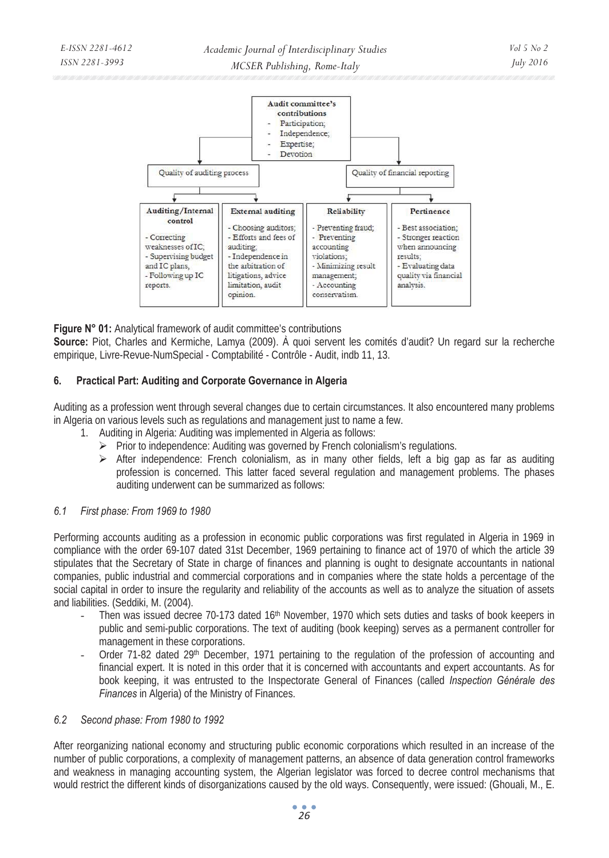

**Figure N° 01:** Analytical framework of audit committee's contributions

**Source:** Piot, Charles and Kermiche, Lamya (2009). À quoi servent les comités d'audit? Un regard sur la recherche empirique, Livre-Revue-NumSpecial - Comptabilité - Contrôle - Audit, indb 11, 13.

### **6. Practical Part: Auditing and Corporate Governance in Algeria**

Auditing as a profession went through several changes due to certain circumstances. It also encountered many problems in Algeria on various levels such as regulations and management just to name a few.

- 1. Auditing in Algeria: Auditing was implemented in Algeria as follows:
	- ¾ Prior to independence: Auditing was governed by French colonialism's regulations.
	- $\triangleright$  After independence: French colonialism, as in many other fields, left a big gap as far as auditing profession is concerned. This latter faced several regulation and management problems. The phases auditing underwent can be summarized as follows:

### *6.1 First phase: From 1969 to 1980*

Performing accounts auditing as a profession in economic public corporations was first regulated in Algeria in 1969 in compliance with the order 69-107 dated 31st December, 1969 pertaining to finance act of 1970 of which the article 39 stipulates that the Secretary of State in charge of finances and planning is ought to designate accountants in national companies, public industrial and commercial corporations and in companies where the state holds a percentage of the social capital in order to insure the regularity and reliability of the accounts as well as to analyze the situation of assets and liabilities. (Seddiki, M. (2004).

- Then was issued decree 70-173 dated 16<sup>th</sup> November, 1970 which sets duties and tasks of book keepers in public and semi-public corporations. The text of auditing (book keeping) serves as a permanent controller for management in these corporations.
- Order 71-82 dated 29<sup>th</sup> December, 1971 pertaining to the regulation of the profession of accounting and financial expert. It is noted in this order that it is concerned with accountants and expert accountants. As for book keeping, it was entrusted to the Inspectorate General of Finances (called *Inspection Générale des Finances* in Algeria) of the Ministry of Finances.

#### *6.2 Second phase: From 1980 to 1992*

After reorganizing national economy and structuring public economic corporations which resulted in an increase of the number of public corporations, a complexity of management patterns, an absence of data generation control frameworks and weakness in managing accounting system, the Algerian legislator was forced to decree control mechanisms that would restrict the different kinds of disorganizations caused by the old ways. Consequently, were issued: (Ghouali, M., E.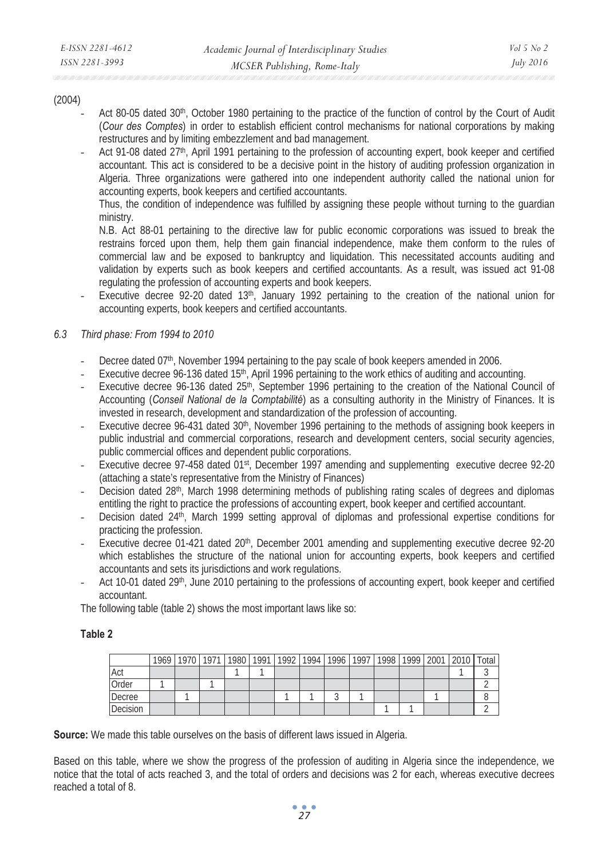#### (2004)

- Act 80-05 dated 30<sup>th</sup>, October 1980 pertaining to the practice of the function of control by the Court of Audit (*Cour des Comptes*) in order to establish efficient control mechanisms for national corporations by making restructures and by limiting embezzlement and bad management.
- Act 91-08 dated 27<sup>th</sup>, April 1991 pertaining to the profession of accounting expert, book keeper and certified accountant. This act is considered to be a decisive point in the history of auditing profession organization in Algeria. Three organizations were gathered into one independent authority called the national union for accounting experts, book keepers and certified accountants.

Thus, the condition of independence was fulfilled by assigning these people without turning to the guardian ministry.

N.B. Act 88-01 pertaining to the directive law for public economic corporations was issued to break the restrains forced upon them, help them gain financial independence, make them conform to the rules of commercial law and be exposed to bankruptcy and liquidation. This necessitated accounts auditing and validation by experts such as book keepers and certified accountants. As a result, was issued act 91-08 regulating the profession of accounting experts and book keepers.

Executive decree 92-20 dated 13<sup>th</sup>, January 1992 pertaining to the creation of the national union for accounting experts, book keepers and certified accountants.

### *6.3 Third phase: From 1994 to 2010*

- Decree dated 07<sup>th</sup>, November 1994 pertaining to the pay scale of book keepers amended in 2006.
- Executive decree 96-136 dated 15<sup>th</sup>, April 1996 pertaining to the work ethics of auditing and accounting.
- Executive decree 96-136 dated 25<sup>th</sup>, September 1996 pertaining to the creation of the National Council of Accounting (*Conseil National de la Comptabilité*) as a consulting authority in the Ministry of Finances. It is invested in research, development and standardization of the profession of accounting.
- Executive decree 96-431 dated 30<sup>th</sup>, November 1996 pertaining to the methods of assigning book keepers in public industrial and commercial corporations, research and development centers, social security agencies, public commercial offices and dependent public corporations.
- Executive decree 97-458 dated 01<sup>st</sup>, December 1997 amending and supplementing executive decree 92-20 (attaching a state's representative from the Ministry of Finances)
- Decision dated 28<sup>th</sup>, March 1998 determining methods of publishing rating scales of degrees and diplomas entitling the right to practice the professions of accounting expert, book keeper and certified accountant.
- Decision dated 24<sup>th</sup>, March 1999 setting approval of diplomas and professional expertise conditions for practicing the profession.
- Executive decree 01-421 dated 20<sup>th</sup>, December 2001 amending and supplementing executive decree 92-20 which establishes the structure of the national union for accounting experts, book keepers and certified accountants and sets its jurisdictions and work regulations.
- Act 10-01 dated 29<sup>th</sup>, June 2010 pertaining to the professions of accounting expert, book keeper and certified accountant.

The following table (table 2) shows the most important laws like so:

#### **Table 2**

|          | 1969   1970   1971   1980   1991   1992   1994   1996   1997   1998   1999   2001   2010   Total |  |  |  |  |  |  |
|----------|--------------------------------------------------------------------------------------------------|--|--|--|--|--|--|
| Act      |                                                                                                  |  |  |  |  |  |  |
| Order    |                                                                                                  |  |  |  |  |  |  |
| Decree   |                                                                                                  |  |  |  |  |  |  |
| Decision |                                                                                                  |  |  |  |  |  |  |

**Source:** We made this table ourselves on the basis of different laws issued in Algeria.

Based on this table, where we show the progress of the profession of auditing in Algeria since the independence, we notice that the total of acts reached 3, and the total of orders and decisions was 2 for each, whereas executive decrees reached a total of 8.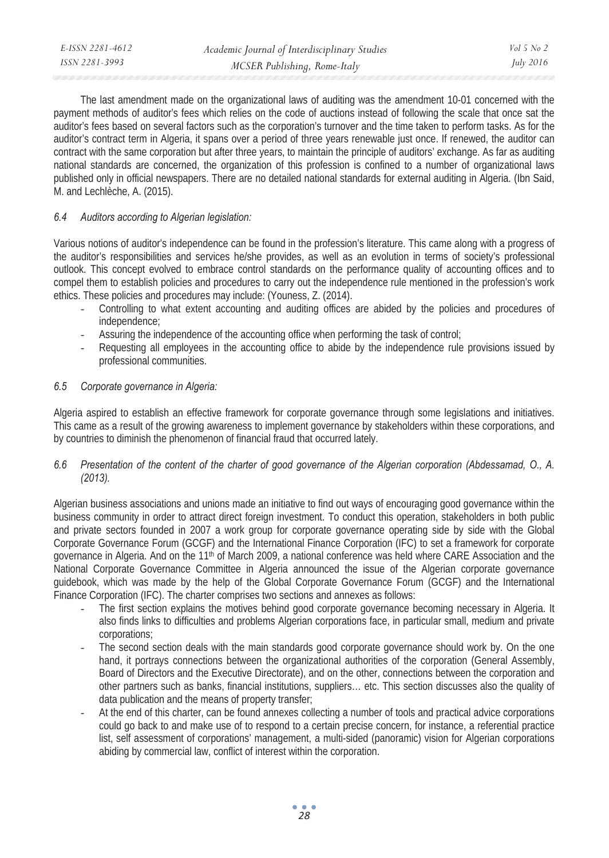The last amendment made on the organizational laws of auditing was the amendment 10-01 concerned with the payment methods of auditor's fees which relies on the code of auctions instead of following the scale that once sat the auditor's fees based on several factors such as the corporation's turnover and the time taken to perform tasks. As for the auditor's contract term in Algeria, it spans over a period of three years renewable just once. If renewed, the auditor can contract with the same corporation but after three years, to maintain the principle of auditors' exchange. As far as auditing national standards are concerned, the organization of this profession is confined to a number of organizational laws published only in official newspapers. There are no detailed national standards for external auditing in Algeria. (Ibn Said, M. and Lechlèche, A. (2015).

### *6.4 Auditors according to Algerian legislation:*

Various notions of auditor's independence can be found in the profession's literature. This came along with a progress of the auditor's responsibilities and services he/she provides, as well as an evolution in terms of society's professional outlook. This concept evolved to embrace control standards on the performance quality of accounting offices and to compel them to establish policies and procedures to carry out the independence rule mentioned in the profession's work ethics. These policies and procedures may include: (Youness, Z. (2014).

- Controlling to what extent accounting and auditing offices are abided by the policies and procedures of independence;
- Assuring the independence of the accounting office when performing the task of control;
- Requesting all employees in the accounting office to abide by the independence rule provisions issued by professional communities.

### *6.5 Corporate governance in Algeria:*

Algeria aspired to establish an effective framework for corporate governance through some legislations and initiatives. This came as a result of the growing awareness to implement governance by stakeholders within these corporations, and by countries to diminish the phenomenon of financial fraud that occurred lately.

### *6.6 Presentation of the content of the charter of good governance of the Algerian corporation (Abdessamad, O., A. (2013).*

Algerian business associations and unions made an initiative to find out ways of encouraging good governance within the business community in order to attract direct foreign investment. To conduct this operation, stakeholders in both public and private sectors founded in 2007 a work group for corporate governance operating side by side with the Global Corporate Governance Forum (GCGF) and the International Finance Corporation (IFC) to set a framework for corporate governance in Algeria. And on the 11<sup>th</sup> of March 2009, a national conference was held where CARE Association and the National Corporate Governance Committee in Algeria announced the issue of the Algerian corporate governance guidebook, which was made by the help of the Global Corporate Governance Forum (GCGF) and the International Finance Corporation (IFC). The charter comprises two sections and annexes as follows:

- The first section explains the motives behind good corporate governance becoming necessary in Algeria. It also finds links to difficulties and problems Algerian corporations face, in particular small, medium and private corporations;
- The second section deals with the main standards good corporate governance should work by. On the one hand, it portrays connections between the organizational authorities of the corporation (General Assembly, Board of Directors and the Executive Directorate), and on the other, connections between the corporation and other partners such as banks, financial institutions, suppliers… etc. This section discusses also the quality of data publication and the means of property transfer;
- At the end of this charter, can be found annexes collecting a number of tools and practical advice corporations could go back to and make use of to respond to a certain precise concern, for instance, a referential practice list, self assessment of corporations' management, a multi-sided (panoramic) vision for Algerian corporations abiding by commercial law, conflict of interest within the corporation.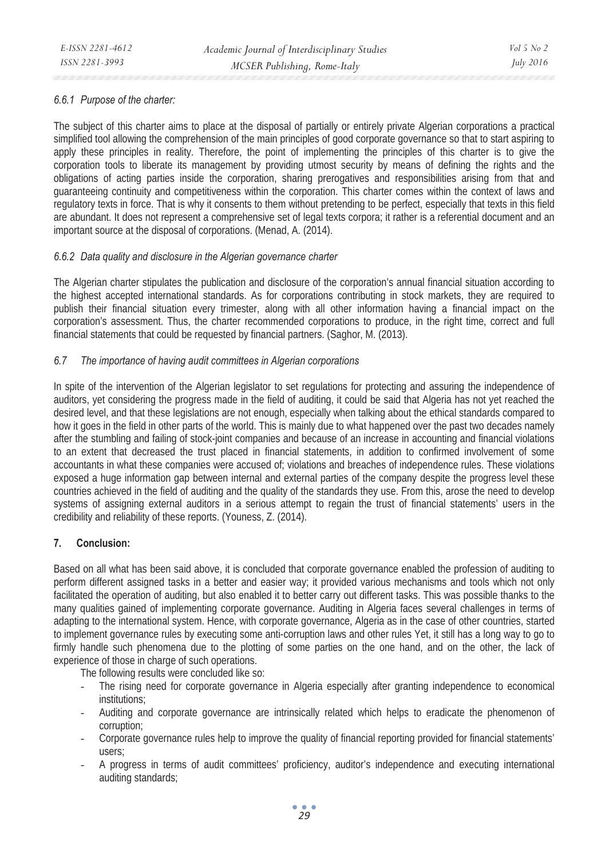### *6.6.1 Purpose of the charter:*

The subject of this charter aims to place at the disposal of partially or entirely private Algerian corporations a practical simplified tool allowing the comprehension of the main principles of good corporate governance so that to start aspiring to apply these principles in reality. Therefore, the point of implementing the principles of this charter is to give the corporation tools to liberate its management by providing utmost security by means of defining the rights and the obligations of acting parties inside the corporation, sharing prerogatives and responsibilities arising from that and guaranteeing continuity and competitiveness within the corporation. This charter comes within the context of laws and regulatory texts in force. That is why it consents to them without pretending to be perfect, especially that texts in this field are abundant. It does not represent a comprehensive set of legal texts corpora; it rather is a referential document and an important source at the disposal of corporations. (Menad, A. (2014).

### *6.6.2 Data quality and disclosure in the Algerian governance charter*

The Algerian charter stipulates the publication and disclosure of the corporation's annual financial situation according to the highest accepted international standards. As for corporations contributing in stock markets, they are required to publish their financial situation every trimester, along with all other information having a financial impact on the corporation's assessment. Thus, the charter recommended corporations to produce, in the right time, correct and full financial statements that could be requested by financial partners. (Saghor, M. (2013).

### *6.7 The importance of having audit committees in Algerian corporations*

In spite of the intervention of the Algerian legislator to set regulations for protecting and assuring the independence of auditors, yet considering the progress made in the field of auditing, it could be said that Algeria has not yet reached the desired level, and that these legislations are not enough, especially when talking about the ethical standards compared to how it goes in the field in other parts of the world. This is mainly due to what happened over the past two decades namely after the stumbling and failing of stock-joint companies and because of an increase in accounting and financial violations to an extent that decreased the trust placed in financial statements, in addition to confirmed involvement of some accountants in what these companies were accused of; violations and breaches of independence rules. These violations exposed a huge information gap between internal and external parties of the company despite the progress level these countries achieved in the field of auditing and the quality of the standards they use. From this, arose the need to develop systems of assigning external auditors in a serious attempt to regain the trust of financial statements' users in the credibility and reliability of these reports. (Youness, Z. (2014).

### **7. Conclusion:**

Based on all what has been said above, it is concluded that corporate governance enabled the profession of auditing to perform different assigned tasks in a better and easier way; it provided various mechanisms and tools which not only facilitated the operation of auditing, but also enabled it to better carry out different tasks. This was possible thanks to the many qualities gained of implementing corporate governance. Auditing in Algeria faces several challenges in terms of adapting to the international system. Hence, with corporate governance, Algeria as in the case of other countries, started to implement governance rules by executing some anti-corruption laws and other rules Yet, it still has a long way to go to firmly handle such phenomena due to the plotting of some parties on the one hand, and on the other, the lack of experience of those in charge of such operations.

The following results were concluded like so:

- The rising need for corporate governance in Algeria especially after granting independence to economical institutions;
- Auditing and corporate governance are intrinsically related which helps to eradicate the phenomenon of corruption;
- Corporate governance rules help to improve the quality of financial reporting provided for financial statements' users;
- A progress in terms of audit committees' proficiency, auditor's independence and executing international auditing standards;